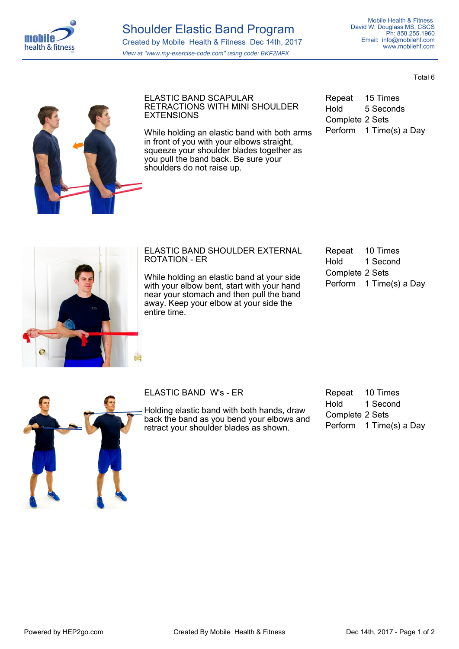

Total 6



ELASTIC BAND SCAPULAR RETRACTIONS WITH MINI SHOULDER **EXTENSIONS** 

While holding an elastic band with both arms in front of you with your elbows straight, squeeze your shoulder blades together as you pull the band back. Be sure your shoulders do not raise up.

Repeat 15 Times Hold 5 Seconds Complete 2 Sets Perform 1 Time(s) a Day



## ELASTIC BAND SHOULDER EXTERNAL ROTATION - ER

While holding an elastic band at your side with your elbow bent, start with your hand near your stomach and then pull the band away. Keep your elbow at your side the entire time.

| Repeat          | 10 Times                |  |
|-----------------|-------------------------|--|
| Hold            | 1 Second                |  |
| Complete 2 Sets |                         |  |
|                 | Perform 1 Time(s) a Day |  |
|                 |                         |  |



ELASTIC BAND W's - ER

Holding elastic band with both hands, draw back the band as you bend your elbows and retract your shoulder blades as shown.

Repeat 10 Times Hold 1 Second Complete 2 Sets Perform 1 Time(s) a Day